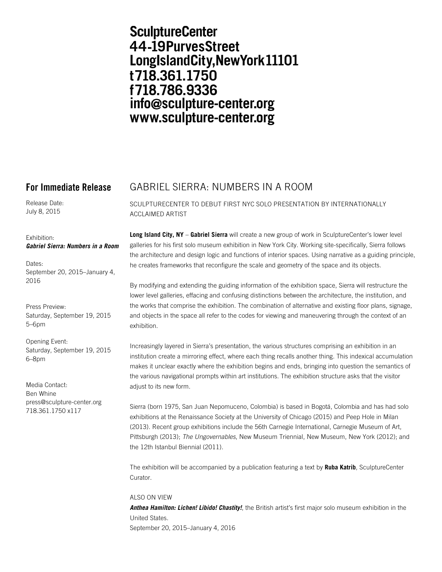# **SculptureCenter** 44-19PurvesStreet LongIslandCity, New York 11101 t718.361.1750 f718.786.9336 info@sculpture-center.org www.sculpture-center.org

Release Date: July 8, 2015

## Exhibition: *Gabriel Sierra: Numbers in a Room*

Dates: September 20, 2015–January 4, 2016

Press Preview: Saturday, September 19, 2015 5–6pm

Opening Event: Saturday, September 19, 2015 6–8pm

Media Contact: Ben Whine press@sculpture-center.org 718.361.1750 x117

## **For Immediate Release** GABRIEL SIERRA: NUMBERS IN A ROOM

SCULPTURECENTER TO DEBUT FIRST NYC SOLO PRESENTATION BY INTERNATIONALLY ACCLAIMED ARTIST

**Long Island City, NY** – **Gabriel Sierra** will create a new group of work in SculptureCenter's lower level galleries for his first solo museum exhibition in New York City. Working site-specifically, Sierra follows the architecture and design logic and functions of interior spaces. Using narrative as a guiding principle, he creates frameworks that reconfigure the scale and geometry of the space and its objects.

By modifying and extending the guiding information of the exhibition space, Sierra will restructure the lower level galleries, effacing and confusing distinctions between the architecture, the institution, and the works that comprise the exhibition. The combination of alternative and existing floor plans, signage, and objects in the space all refer to the codes for viewing and maneuvering through the context of an exhibition.

Increasingly layered in Sierra's presentation, the various structures comprising an exhibition in an institution create a mirroring effect, where each thing recalls another thing. This indexical accumulation makes it unclear exactly where the exhibition begins and ends, bringing into question the semantics of the various navigational prompts within art institutions. The exhibition structure asks that the visitor adiust to its new form.

Sierra (born 1975, San Juan Nepomuceno, Colombia) is based in Bogotá, Colombia and has had solo exhibitions at the Renaissance Society at the University of Chicago (2015) and Peep Hole in Milan (2013). Recent group exhibitions include the 56th Carnegie International, Carnegie Museum of Art, Pittsburgh (2013); *The Ungovernables*, New Museum Triennial, New Museum, New York (2012); and the 12th Istanbul Biennial (2011).

The exhibition will be accompanied by a publication featuring a text by **Ruba Katrib**, SculptureCenter Curator.

## ALSO ON VIEW

*Anthea Hamilton: Lichen! Libido! Chastity!*, the British artist's first major solo museum exhibition in the United States. September 20, 2015–January 4, 2016